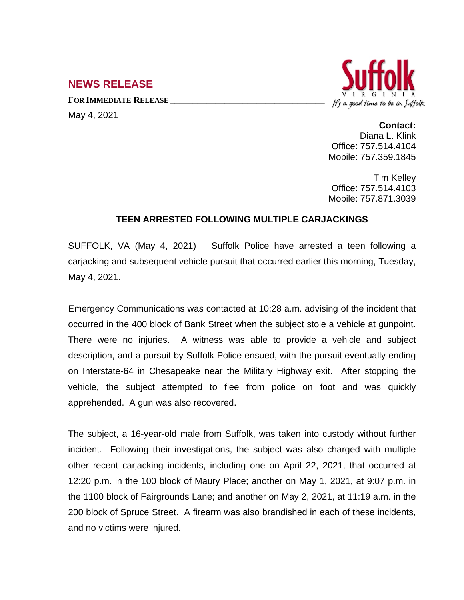## **NEWS RELEASE**

**FOR IMMEDIATE RELEASE \_\_\_\_\_\_\_\_\_\_\_\_\_\_\_\_\_\_\_\_\_\_\_\_\_\_\_\_\_\_\_\_\_\_**



May 4, 2021

## **Contact:** Diana L. Klink

Office: 757.514.4104 Mobile: 757.359.1845

Tim Kelley Office: 757.514.4103 Mobile: 757.871.3039

## **TEEN ARRESTED FOLLOWING MULTIPLE CARJACKINGS**

SUFFOLK, VA (May 4, 2021) Suffolk Police have arrested a teen following a carjacking and subsequent vehicle pursuit that occurred earlier this morning, Tuesday, May 4, 2021.

Emergency Communications was contacted at 10:28 a.m. advising of the incident that occurred in the 400 block of Bank Street when the subject stole a vehicle at gunpoint. There were no injuries. A witness was able to provide a vehicle and subject description, and a pursuit by Suffolk Police ensued, with the pursuit eventually ending on Interstate-64 in Chesapeake near the Military Highway exit. After stopping the vehicle, the subject attempted to flee from police on foot and was quickly apprehended. A gun was also recovered.

The subject, a 16-year-old male from Suffolk, was taken into custody without further incident. Following their investigations, the subject was also charged with multiple other recent carjacking incidents, including one on April 22, 2021, that occurred at 12:20 p.m. in the 100 block of Maury Place; another on May 1, 2021, at 9:07 p.m. in the 1100 block of Fairgrounds Lane; and another on May 2, 2021, at 11:19 a.m. in the 200 block of Spruce Street. A firearm was also brandished in each of these incidents, and no victims were injured.